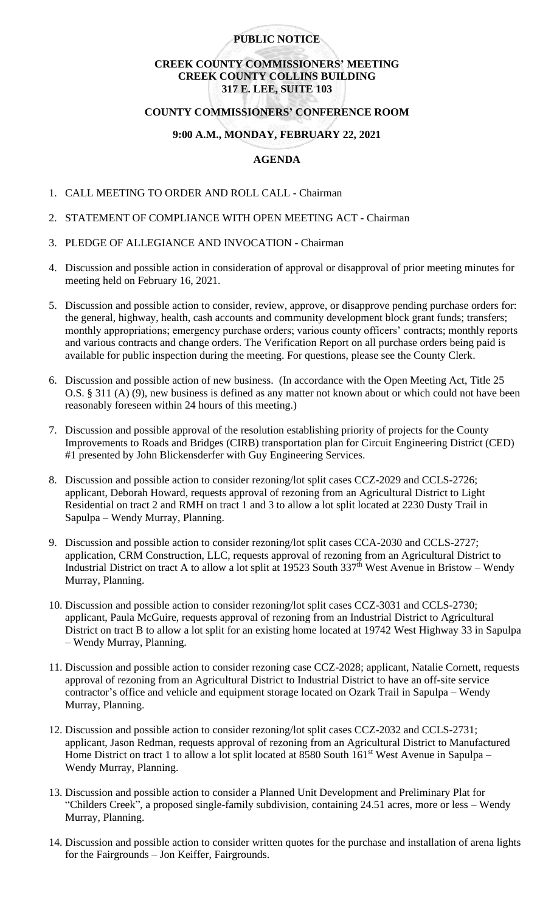## **PUBLIC NOTICE**

# **CREEK COUNTY COMMISSIONERS' MEETING CREEK COUNTY COLLINS BUILDING 317 E. LEE, SUITE 103**

## **COUNTY COMMISSIONERS' CONFERENCE ROOM**

#### **9:00 A.M., MONDAY, FEBRUARY 22, 2021**

## **AGENDA**

- 1. CALL MEETING TO ORDER AND ROLL CALL Chairman
- 2. STATEMENT OF COMPLIANCE WITH OPEN MEETING ACT Chairman
- 3. PLEDGE OF ALLEGIANCE AND INVOCATION Chairman
- 4. Discussion and possible action in consideration of approval or disapproval of prior meeting minutes for meeting held on February 16, 2021.
- 5. Discussion and possible action to consider, review, approve, or disapprove pending purchase orders for: the general, highway, health, cash accounts and community development block grant funds; transfers; monthly appropriations; emergency purchase orders; various county officers' contracts; monthly reports and various contracts and change orders. The Verification Report on all purchase orders being paid is available for public inspection during the meeting. For questions, please see the County Clerk.
- 6. Discussion and possible action of new business. (In accordance with the Open Meeting Act, Title 25 O.S. § 311 (A) (9), new business is defined as any matter not known about or which could not have been reasonably foreseen within 24 hours of this meeting.)
- 7. Discussion and possible approval of the resolution establishing priority of projects for the County Improvements to Roads and Bridges (CIRB) transportation plan for Circuit Engineering District (CED) #1 presented by John Blickensderfer with Guy Engineering Services.
- 8. Discussion and possible action to consider rezoning/lot split cases CCZ-2029 and CCLS-2726; applicant, Deborah Howard, requests approval of rezoning from an Agricultural District to Light Residential on tract 2 and RMH on tract 1 and 3 to allow a lot split located at 2230 Dusty Trail in Sapulpa – Wendy Murray, Planning.
- 9. Discussion and possible action to consider rezoning/lot split cases CCA-2030 and CCLS-2727; application, CRM Construction, LLC, requests approval of rezoning from an Agricultural District to Industrial District on tract A to allow a lot split at 19523 South  $337<sup>th</sup>$  West Avenue in Bristow – Wendy Murray, Planning.
- 10. Discussion and possible action to consider rezoning/lot split cases CCZ-3031 and CCLS-2730; applicant, Paula McGuire, requests approval of rezoning from an Industrial District to Agricultural District on tract B to allow a lot split for an existing home located at 19742 West Highway 33 in Sapulpa – Wendy Murray, Planning.
- 11. Discussion and possible action to consider rezoning case CCZ-2028; applicant, Natalie Cornett, requests approval of rezoning from an Agricultural District to Industrial District to have an off-site service contractor's office and vehicle and equipment storage located on Ozark Trail in Sapulpa – Wendy Murray, Planning.
- 12. Discussion and possible action to consider rezoning/lot split cases CCZ-2032 and CCLS-2731; applicant, Jason Redman, requests approval of rezoning from an Agricultural District to Manufactured Home District on tract 1 to allow a lot split located at 8580 South  $161^{st}$  West Avenue in Sapulpa – Wendy Murray, Planning.
- 13. Discussion and possible action to consider a Planned Unit Development and Preliminary Plat for "Childers Creek", a proposed single-family subdivision, containing 24.51 acres, more or less – Wendy Murray, Planning.
- 14. Discussion and possible action to consider written quotes for the purchase and installation of arena lights for the Fairgrounds – Jon Keiffer, Fairgrounds.